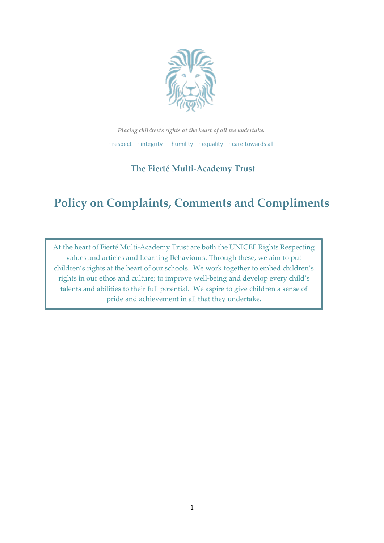

*Placing children's rights at the heart of all we undertake.* ∙ respect    ∙ integrity    ∙ humility    ∙ equality    ∙ care towards all

# **The Fierté Multi-Academy Trust**

# **Policy on Complaints, Comments and Compliments**

At the heart of Fierté Multi-Academy Trust are both the UNICEF Rights Respecting values and articles and Learning Behaviours. Through these, we aim to put children's rights at the heart of our schools. We work together to embed children's rights in our ethos and culture; to improve well-being and develop every child's talents and abilities to their full potential. We aspire to give children a sense of pride and achievement in all that they undertake.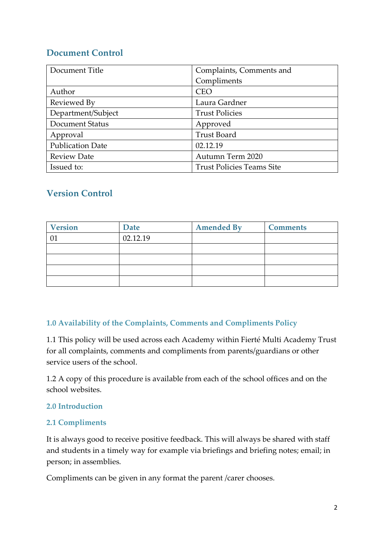# **Document Control**

| Document Title          | Complaints, Comments and         |
|-------------------------|----------------------------------|
|                         | Compliments                      |
| Author                  | <b>CEO</b>                       |
| Reviewed By             | Laura Gardner                    |
| Department/Subject      | <b>Trust Policies</b>            |
| Document Status         | Approved                         |
| Approval                | <b>Trust Board</b>               |
| <b>Publication Date</b> | 02.12.19                         |
| <b>Review Date</b>      | Autumn Term 2020                 |
| Issued to:              | <b>Trust Policies Teams Site</b> |

# **Version Control**

| <b>Version</b> | <b>Date</b> | <b>Amended By</b> | <b>Comments</b> |
|----------------|-------------|-------------------|-----------------|
|                | 02.12.19    |                   |                 |
|                |             |                   |                 |
|                |             |                   |                 |
|                |             |                   |                 |
|                |             |                   |                 |

# **1.0 Availability of the Complaints, Comments and Compliments Policy**

1.1 This policy will be used across each Academy within Fierté Multi Academy Trust for all complaints, comments and compliments from parents/guardians or other service users of the school.

1.2 A copy of this procedure is available from each of the school offices and on the school websites.

# **2.0 Introduction**

#### **2.1 Compliments**

It is always good to receive positive feedback. This will always be shared with staff and students in a timely way for example via briefings and briefing notes; email; in person; in assemblies.

Compliments can be given in any format the parent /carer chooses.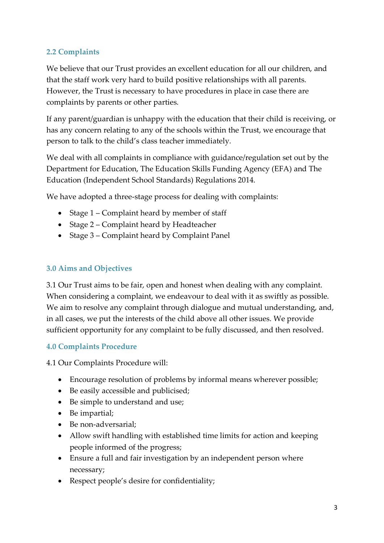# **2.2 Complaints**

We believe that our Trust provides an excellent education for all our children, and that the staff work very hard to build positive relationships with all parents. However, the Trust is necessary to have procedures in place in case there are complaints by parents or other parties.

If any parent/guardian is unhappy with the education that their child is receiving, or has any concern relating to any of the schools within the Trust, we encourage that person to talk to the child's class teacher immediately.

We deal with all complaints in compliance with guidance/regulation set out by the Department for Education, The Education Skills Funding Agency (EFA) and The Education (Independent School Standards) Regulations 2014.

We have adopted a three-stage process for dealing with complaints:

- Stage 1 Complaint heard by member of staff
- Stage 2 Complaint heard by Headteacher
- Stage 3 Complaint heard by Complaint Panel

#### **3.0 Aims and Objectives**

3.1 Our Trust aims to be fair, open and honest when dealing with any complaint. When considering a complaint, we endeavour to deal with it as swiftly as possible. We aim to resolve any complaint through dialogue and mutual understanding, and, in all cases, we put the interests of the child above all other issues. We provide sufficient opportunity for any complaint to be fully discussed, and then resolved.

#### **4.0 Complaints Procedure**

4.1 Our Complaints Procedure will:

- Encourage resolution of problems by informal means wherever possible;
- Be easily accessible and publicised;
- Be simple to understand and use;
- Be impartial;
- Be non-adversarial;
- Allow swift handling with established time limits for action and keeping people informed of the progress;
- Ensure a full and fair investigation by an independent person where necessary;
- Respect people's desire for confidentiality;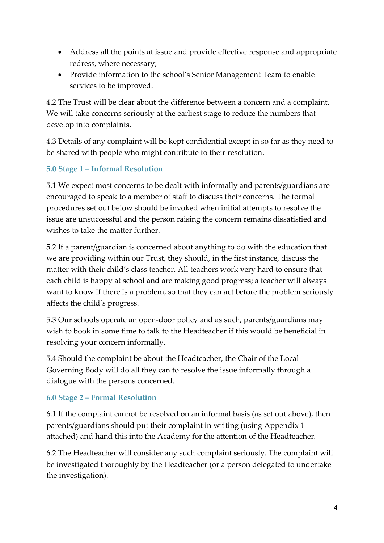- Address all the points at issue and provide effective response and appropriate redress, where necessary;
- Provide information to the school's Senior Management Team to enable services to be improved.

4.2 The Trust will be clear about the difference between a concern and a complaint. We will take concerns seriously at the earliest stage to reduce the numbers that develop into complaints.

4.3 Details of any complaint will be kept confidential except in so far as they need to be shared with people who might contribute to their resolution.

# **5.0 Stage 1 – Informal Resolution**

5.1 We expect most concerns to be dealt with informally and parents/guardians are encouraged to speak to a member of staff to discuss their concerns. The formal procedures set out below should be invoked when initial attempts to resolve the issue are unsuccessful and the person raising the concern remains dissatisfied and wishes to take the matter further.

5.2 If a parent/guardian is concerned about anything to do with the education that we are providing within our Trust, they should, in the first instance, discuss the matter with their child's class teacher. All teachers work very hard to ensure that each child is happy at school and are making good progress; a teacher will always want to know if there is a problem, so that they can act before the problem seriously affects the child's progress.

5.3 Our schools operate an open-door policy and as such, parents/guardians may wish to book in some time to talk to the Headteacher if this would be beneficial in resolving your concern informally.

5.4 Should the complaint be about the Headteacher, the Chair of the Local Governing Body will do all they can to resolve the issue informally through a dialogue with the persons concerned.

# **6.0 Stage 2 – Formal Resolution**

6.1 If the complaint cannot be resolved on an informal basis (as set out above), then parents/guardians should put their complaint in writing (using Appendix 1 attached) and hand this into the Academy for the attention of the Headteacher.

6.2 The Headteacher will consider any such complaint seriously. The complaint will be investigated thoroughly by the Headteacher (or a person delegated to undertake the investigation).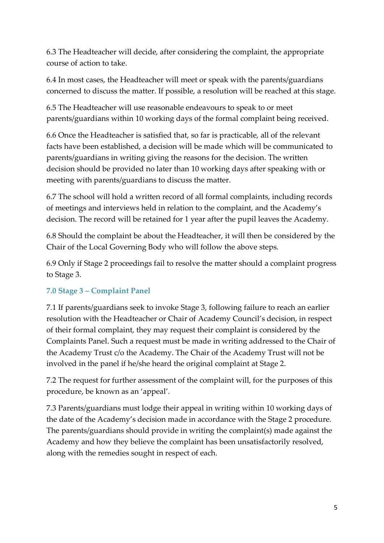6.3 The Headteacher will decide, after considering the complaint, the appropriate course of action to take.

6.4 In most cases, the Headteacher will meet or speak with the parents/guardians concerned to discuss the matter. If possible, a resolution will be reached at this stage.

6.5 The Headteacher will use reasonable endeavours to speak to or meet parents/guardians within 10 working days of the formal complaint being received.

6.6 Once the Headteacher is satisfied that, so far is practicable, all of the relevant facts have been established, a decision will be made which will be communicated to parents/guardians in writing giving the reasons for the decision. The written decision should be provided no later than 10 working days after speaking with or meeting with parents/guardians to discuss the matter.

6.7 The school will hold a written record of all formal complaints, including records of meetings and interviews held in relation to the complaint, and the Academy's decision. The record will be retained for 1 year after the pupil leaves the Academy.

6.8 Should the complaint be about the Headteacher, it will then be considered by the Chair of the Local Governing Body who will follow the above steps.

6.9 Only if Stage 2 proceedings fail to resolve the matter should a complaint progress to Stage 3.

# **7.0 Stage 3 – Complaint Panel**

7.1 If parents/guardians seek to invoke Stage 3, following failure to reach an earlier resolution with the Headteacher or Chair of Academy Council's decision, in respect of their formal complaint, they may request their complaint is considered by the Complaints Panel. Such a request must be made in writing addressed to the Chair of the Academy Trust c/o the Academy. The Chair of the Academy Trust will not be involved in the panel if he/she heard the original complaint at Stage 2.

7.2 The request for further assessment of the complaint will, for the purposes of this procedure, be known as an 'appeal'.

7.3 Parents/guardians must lodge their appeal in writing within 10 working days of the date of the Academy's decision made in accordance with the Stage 2 procedure. The parents/guardians should provide in writing the complaint(s) made against the Academy and how they believe the complaint has been unsatisfactorily resolved, along with the remedies sought in respect of each.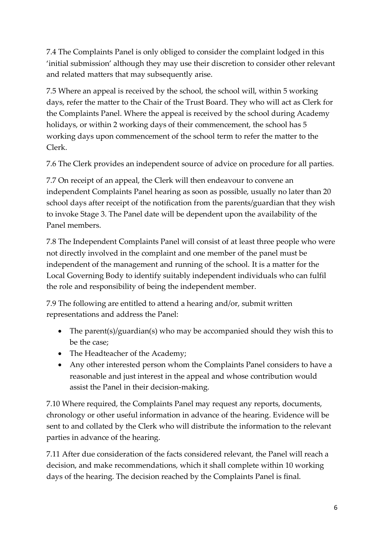7.4 The Complaints Panel is only obliged to consider the complaint lodged in this 'initial submission' although they may use their discretion to consider other relevant and related matters that may subsequently arise.

7.5 Where an appeal is received by the school, the school will, within 5 working days, refer the matter to the Chair of the Trust Board. They who will act as Clerk for the Complaints Panel. Where the appeal is received by the school during Academy holidays, or within 2 working days of their commencement, the school has 5 working days upon commencement of the school term to refer the matter to the Clerk.

7.6 The Clerk provides an independent source of advice on procedure for all parties.

7.7 On receipt of an appeal, the Clerk will then endeavour to convene an independent Complaints Panel hearing as soon as possible, usually no later than 20 school days after receipt of the notification from the parents/guardian that they wish to invoke Stage 3. The Panel date will be dependent upon the availability of the Panel members.

7.8 The Independent Complaints Panel will consist of at least three people who were not directly involved in the complaint and one member of the panel must be independent of the management and running of the school. It is a matter for the Local Governing Body to identify suitably independent individuals who can fulfil the role and responsibility of being the independent member.

7.9 The following are entitled to attend a hearing and/or, submit written representations and address the Panel:

- The parent(s)/guardian(s) who may be accompanied should they wish this to be the case;
- The Headteacher of the Academy;
- Any other interested person whom the Complaints Panel considers to have a reasonable and just interest in the appeal and whose contribution would assist the Panel in their decision-making.

7.10 Where required, the Complaints Panel may request any reports, documents, chronology or other useful information in advance of the hearing. Evidence will be sent to and collated by the Clerk who will distribute the information to the relevant parties in advance of the hearing.

7.11 After due consideration of the facts considered relevant, the Panel will reach a decision, and make recommendations, which it shall complete within 10 working days of the hearing. The decision reached by the Complaints Panel is final.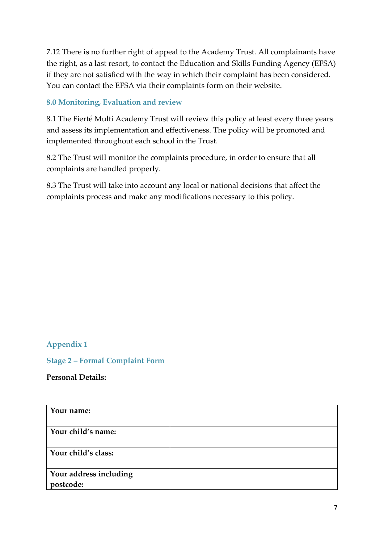7.12 There is no further right of appeal to the Academy Trust. All complainants have the right, as a last resort, to contact the Education and Skills Funding Agency (EFSA) if they are not satisfied with the way in which their complaint has been considered. You can contact the EFSA via their complaints form on their website.

#### **8.0 Monitoring, Evaluation and review**

8.1 The Fierté Multi Academy Trust will review this policy at least every three years and assess its implementation and effectiveness. The policy will be promoted and implemented throughout each school in the Trust.

8.2 The Trust will monitor the complaints procedure, in order to ensure that all complaints are handled properly.

8.3 The Trust will take into account any local or national decisions that affect the complaints process and make any modifications necessary to this policy.

#### **Appendix 1**

#### **Stage 2 – Formal Complaint Form**

#### **Personal Details:**

| Your name:                          |  |
|-------------------------------------|--|
| Your child's name:                  |  |
| Your child's class:                 |  |
| Your address including<br>postcode: |  |